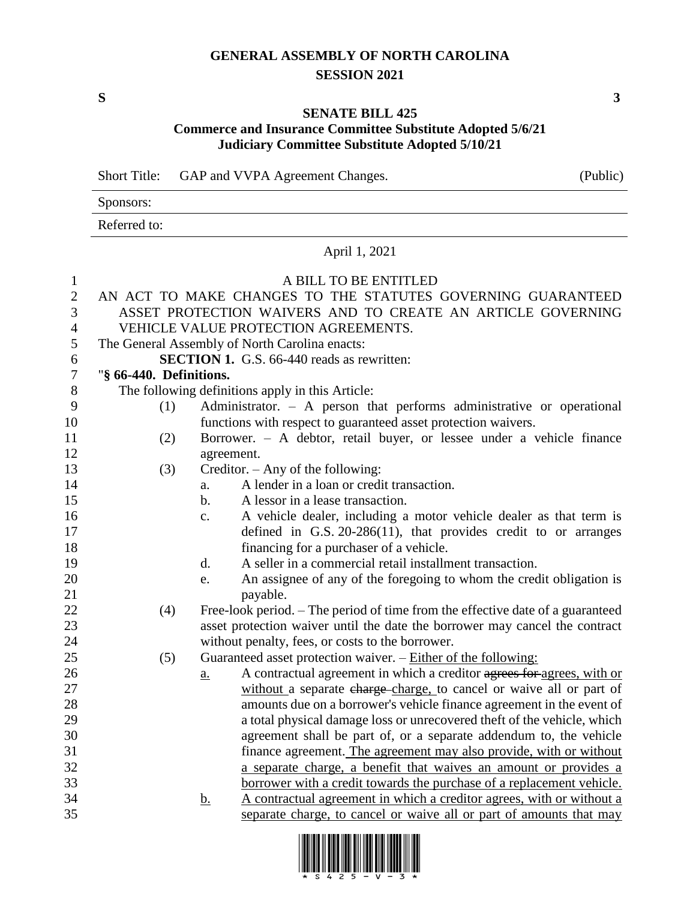### **GENERAL ASSEMBLY OF NORTH CAROLINA SESSION 2021**

**S 3**

#### **SENATE BILL 425**

## **Commerce and Insurance Committee Substitute Adopted 5/6/21 Judiciary Committee Substitute Adopted 5/10/21**

Short Title: GAP and VVPA Agreement Changes. (Public)

| Sponsors:    |  |
|--------------|--|
| Referred to: |  |

## April 1, 2021

# 1 A BILL TO BE ENTITLED

| $\overline{2}$   |                                                             | AN ACT TO MAKE CHANGES TO THE STATUTES GOVERNING GUARANTEED                                 |  |  |
|------------------|-------------------------------------------------------------|---------------------------------------------------------------------------------------------|--|--|
| 3                | ASSET PROTECTION WAIVERS AND TO CREATE AN ARTICLE GOVERNING |                                                                                             |  |  |
| $\overline{4}$   |                                                             | VEHICLE VALUE PROTECTION AGREEMENTS.                                                        |  |  |
| 5                |                                                             | The General Assembly of North Carolina enacts:                                              |  |  |
| 6                |                                                             | <b>SECTION 1.</b> G.S. 66-440 reads as rewritten:                                           |  |  |
| $\boldsymbol{7}$ | "§ 66-440. Definitions.                                     |                                                                                             |  |  |
| $8\,$            |                                                             | The following definitions apply in this Article:                                            |  |  |
| 9                | (1)                                                         | Administrator. $-$ A person that performs administrative or operational                     |  |  |
| 10               |                                                             | functions with respect to guaranteed asset protection waivers.                              |  |  |
| 11               | (2)                                                         | Borrower. - A debtor, retail buyer, or lessee under a vehicle finance                       |  |  |
| 12               |                                                             | agreement.                                                                                  |  |  |
| 13               | (3)                                                         | Creditor. $-$ Any of the following:                                                         |  |  |
| 14               |                                                             | A lender in a loan or credit transaction.<br>a.                                             |  |  |
| 15               |                                                             | A lessor in a lease transaction.<br>$\mathbf{b}$ .                                          |  |  |
| 16               |                                                             | A vehicle dealer, including a motor vehicle dealer as that term is<br>$\mathbf{c}$ .        |  |  |
| 17               |                                                             | defined in G.S. $20-286(11)$ , that provides credit to or arranges                          |  |  |
| 18               |                                                             | financing for a purchaser of a vehicle.                                                     |  |  |
| 19               |                                                             | A seller in a commercial retail installment transaction.<br>d.                              |  |  |
| 20               |                                                             | An assignee of any of the foregoing to whom the credit obligation is<br>e.                  |  |  |
| 21               |                                                             | payable.                                                                                    |  |  |
| $22\,$           | (4)                                                         | Free-look period. – The period of time from the effective date of a guaranteed              |  |  |
| 23               |                                                             | asset protection waiver until the date the borrower may cancel the contract                 |  |  |
| 24               |                                                             | without penalty, fees, or costs to the borrower.                                            |  |  |
| 25               | (5)                                                         | Guaranteed asset protection waiver. - Either of the following:                              |  |  |
| 26               |                                                             | A contractual agreement in which a creditor agrees for agrees, with or<br>$\underline{a}$ . |  |  |
| $27\,$           |                                                             | without a separate charge-charge, to cancel or waive all or part of                         |  |  |
| 28               |                                                             | amounts due on a borrower's vehicle finance agreement in the event of                       |  |  |
| 29               |                                                             | a total physical damage loss or unrecovered theft of the vehicle, which                     |  |  |
| 30               |                                                             | agreement shall be part of, or a separate addendum to, the vehicle                          |  |  |
| 31               |                                                             | finance agreement. The agreement may also provide, with or without                          |  |  |
| 32               |                                                             | a separate charge, a benefit that waives an amount or provides a                            |  |  |
| 33               |                                                             | borrower with a credit towards the purchase of a replacement vehicle.                       |  |  |
| 34               |                                                             | A contractual agreement in which a creditor agrees, with or without a<br><u>b.</u>          |  |  |
| 35               |                                                             | separate charge, to cancel or waive all or part of amounts that may                         |  |  |

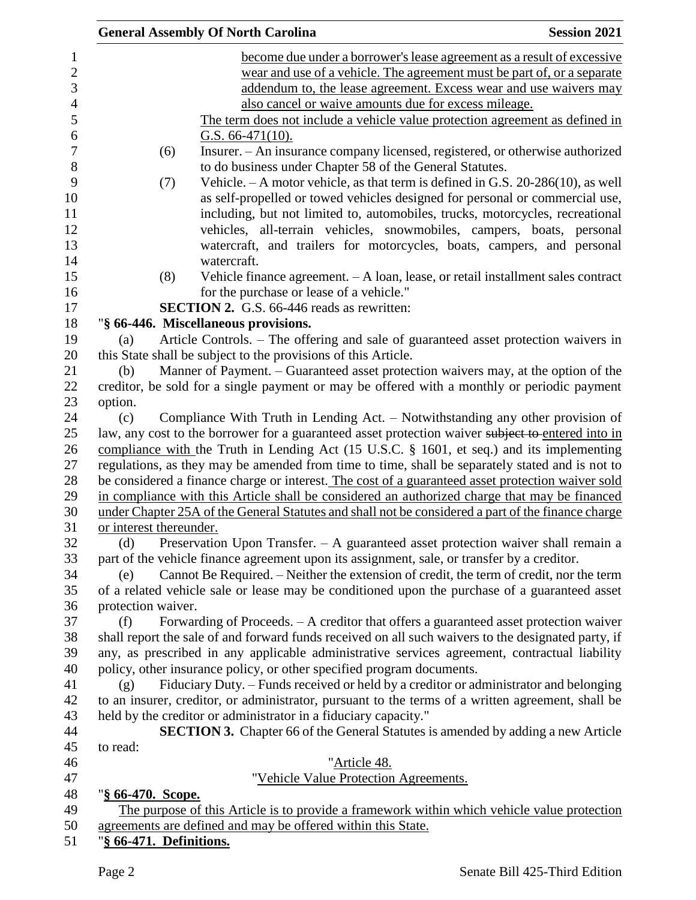|                         | <b>General Assembly Of North Carolina</b>                                                           | <b>Session 2021</b> |
|-------------------------|-----------------------------------------------------------------------------------------------------|---------------------|
|                         | become due under a borrower's lease agreement as a result of excessive                              |                     |
|                         | wear and use of a vehicle. The agreement must be part of, or a separate                             |                     |
|                         | addendum to, the lease agreement. Excess wear and use waivers may                                   |                     |
|                         | also cancel or waive amounts due for excess mileage.                                                |                     |
|                         | The term does not include a vehicle value protection agreement as defined in                        |                     |
|                         | G.S. $66-471(10)$ .                                                                                 |                     |
| (6)                     | Insurer. - An insurance company licensed, registered, or otherwise authorized                       |                     |
|                         | to do business under Chapter 58 of the General Statutes.                                            |                     |
| (7)                     | Vehicle. $-A$ motor vehicle, as that term is defined in G.S. 20-286(10), as well                    |                     |
|                         | as self-propelled or towed vehicles designed for personal or commercial use,                        |                     |
|                         | including, but not limited to, automobiles, trucks, motorcycles, recreational                       |                     |
|                         | vehicles, all-terrain vehicles, snowmobiles, campers, boats, personal                               |                     |
|                         | watercraft, and trailers for motorcycles, boats, campers, and personal                              |                     |
|                         | watercraft.                                                                                         |                     |
| (8)                     | Vehicle finance agreement. - A loan, lease, or retail installment sales contract                    |                     |
|                         | for the purchase or lease of a vehicle."                                                            |                     |
|                         | <b>SECTION 2.</b> G.S. 66-446 reads as rewritten:                                                   |                     |
|                         | "§ 66-446. Miscellaneous provisions.                                                                |                     |
| (a)                     | Article Controls. – The offering and sale of guaranteed asset protection waivers in                 |                     |
|                         | this State shall be subject to the provisions of this Article.                                      |                     |
| (b)                     | Manner of Payment. – Guaranteed asset protection waivers may, at the option of the                  |                     |
|                         | creditor, be sold for a single payment or may be offered with a monthly or periodic payment         |                     |
| option.                 |                                                                                                     |                     |
| (c)                     | Compliance With Truth in Lending Act. – Notwithstanding any other provision of                      |                     |
|                         | law, any cost to the borrower for a guaranteed asset protection waiver subject to entered into in   |                     |
|                         | compliance with the Truth in Lending Act (15 U.S.C. § 1601, et seq.) and its implementing           |                     |
|                         | regulations, as they may be amended from time to time, shall be separately stated and is not to     |                     |
|                         | be considered a finance charge or interest. The cost of a guaranteed asset protection waiver sold   |                     |
|                         | in compliance with this Article shall be considered an authorized charge that may be financed       |                     |
|                         | under Chapter 25A of the General Statutes and shall not be considered a part of the finance charge  |                     |
| or interest thereunder. |                                                                                                     |                     |
| (d)                     | Preservation Upon Transfer. $-$ A guaranteed asset protection waiver shall remain a                 |                     |
|                         | part of the vehicle finance agreement upon its assignment, sale, or transfer by a creditor.         |                     |
| (e)                     | Cannot Be Required. - Neither the extension of credit, the term of credit, nor the term             |                     |
|                         | of a related vehicle sale or lease may be conditioned upon the purchase of a guaranteed asset       |                     |
| protection waiver.      |                                                                                                     |                     |
| (f)                     | Forwarding of Proceeds. - A creditor that offers a guaranteed asset protection waiver               |                     |
|                         | shall report the sale of and forward funds received on all such waivers to the designated party, if |                     |
|                         | any, as prescribed in any applicable administrative services agreement, contractual liability       |                     |
|                         | policy, other insurance policy, or other specified program documents.                               |                     |
| (g)                     | Fiduciary Duty. - Funds received or held by a creditor or administrator and belonging               |                     |
|                         | to an insurer, creditor, or administrator, pursuant to the terms of a written agreement, shall be   |                     |
|                         | held by the creditor or administrator in a fiduciary capacity."                                     |                     |
|                         | <b>SECTION 3.</b> Chapter 66 of the General Statutes is amended by adding a new Article             |                     |
| to read:                |                                                                                                     |                     |
|                         | "Article 48.                                                                                        |                     |
|                         | "Vehicle Value Protection Agreements.                                                               |                     |
| "§ 66-470. Scope.       |                                                                                                     |                     |
|                         | The purpose of this Article is to provide a framework within which vehicle value protection         |                     |
|                         | agreements are defined and may be offered within this State.                                        |                     |
| "§ 66-471. Definitions. |                                                                                                     |                     |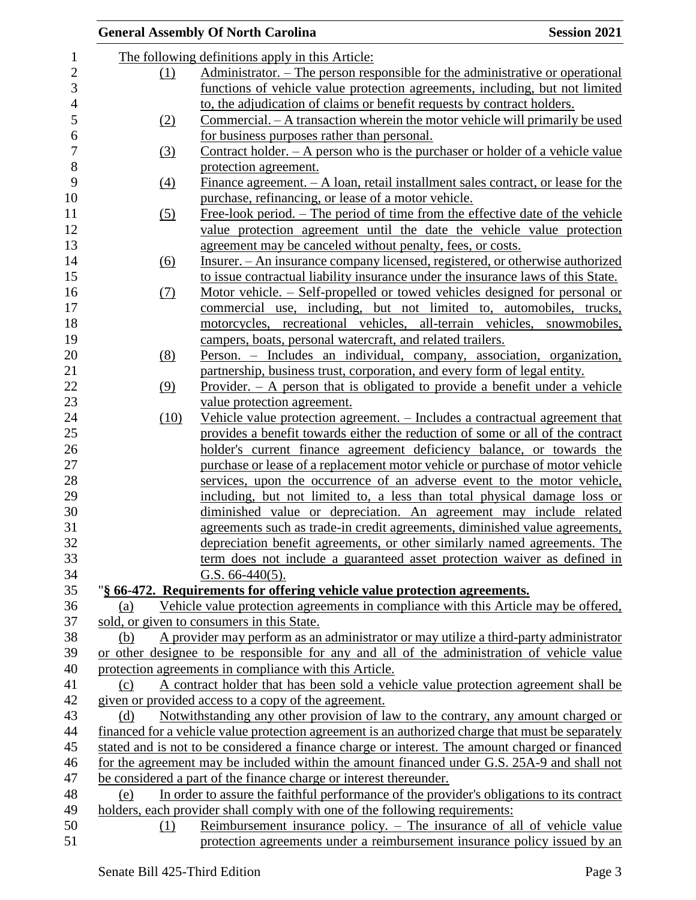|                |                   | <b>General Assembly Of North Carolina</b>                                                         | <b>Session 2021</b> |
|----------------|-------------------|---------------------------------------------------------------------------------------------------|---------------------|
| 1              |                   | The following definitions apply in this Article:                                                  |                     |
| $\overline{c}$ | (1)               | Administrator. – The person responsible for the administrative or operational                     |                     |
| 3              |                   | functions of vehicle value protection agreements, including, but not limited                      |                     |
| $\overline{4}$ |                   | to, the adjudication of claims or benefit requests by contract holders.                           |                     |
| 5              | (2)               | Commercial. – A transaction wherein the motor vehicle will primarily be used                      |                     |
| 6              |                   | for business purposes rather than personal.                                                       |                     |
| $\overline{7}$ | (3)               | Contract holder. $-$ A person who is the purchaser or holder of a vehicle value                   |                     |
| 8              |                   | protection agreement.                                                                             |                     |
| 9              | (4)               | Finance agreement. $- A$ loan, retail installment sales contract, or lease for the                |                     |
| 10             |                   | purchase, refinancing, or lease of a motor vehicle.                                               |                     |
| 11             | $\left( 5\right)$ | Free-look period. – The period of time from the effective date of the vehicle                     |                     |
| 12             |                   | value protection agreement until the date the vehicle value protection                            |                     |
| 13             |                   | agreement may be canceled without penalty, fees, or costs.                                        |                     |
| 14             | (6)               | Insurer. – An insurance company licensed, registered, or otherwise authorized                     |                     |
| 15             |                   | to issue contractual liability insurance under the insurance laws of this State.                  |                     |
| 16             | (7)               | Motor vehicle. – Self-propelled or towed vehicles designed for personal or                        |                     |
| 17             |                   | commercial use, including, but not limited to, automobiles, trucks,                               |                     |
| 18             |                   | motorcycles, recreational vehicles, all-terrain vehicles, snowmobiles,                            |                     |
| 19             |                   | campers, boats, personal watercraft, and related trailers.                                        |                     |
| 20             | (8)               | Person. – Includes an individual, company, association, organization,                             |                     |
| 21             |                   | partnership, business trust, corporation, and every form of legal entity.                         |                     |
| 22             | (9)               | Provider. $-$ A person that is obligated to provide a benefit under a vehicle                     |                     |
| 23             |                   | value protection agreement.                                                                       |                     |
| 24             | (10)              | <u>Vehicle value protection agreement. – Includes a contractual agreement that</u>                |                     |
| 25             |                   | provides a benefit towards either the reduction of some or all of the contract                    |                     |
| 26             |                   | holder's current finance agreement deficiency balance, or towards the                             |                     |
| 27             |                   | purchase or lease of a replacement motor vehicle or purchase of motor vehicle                     |                     |
| 28             |                   | services, upon the occurrence of an adverse event to the motor vehicle,                           |                     |
| 29             |                   | including, but not limited to, a less than total physical damage loss or                          |                     |
| 30             |                   | diminished value or depreciation. An agreement may include related                                |                     |
| 31             |                   | agreements such as trade-in credit agreements, diminished value agreements,                       |                     |
| 32             |                   | depreciation benefit agreements, or other similarly named agreements. The                         |                     |
| 33             |                   | term does not include a guaranteed asset protection waiver as defined in                          |                     |
| 34             |                   | G.S. $66-440(5)$ .                                                                                |                     |
| 35             |                   | "§ 66-472. Requirements for offering vehicle value protection agreements.                         |                     |
| 36             | (a)               | Vehicle value protection agreements in compliance with this Article may be offered,               |                     |
| 37             |                   | sold, or given to consumers in this State.                                                        |                     |
| 38             | (b)               | A provider may perform as an administrator or may utilize a third-party administrator             |                     |
| 39             |                   | or other designee to be responsible for any and all of the administration of vehicle value        |                     |
| 40             |                   | protection agreements in compliance with this Article.                                            |                     |
| 41             | (c)               | A contract holder that has been sold a vehicle value protection agreement shall be                |                     |
| 42             |                   | given or provided access to a copy of the agreement.                                              |                     |
| 43             | (d)               | Notwithstanding any other provision of law to the contrary, any amount charged or                 |                     |
| 44             |                   | financed for a vehicle value protection agreement is an authorized charge that must be separately |                     |
| 45             |                   | stated and is not to be considered a finance charge or interest. The amount charged or financed   |                     |
| 46             |                   | for the agreement may be included within the amount financed under G.S. 25A-9 and shall not       |                     |
| 47             |                   | be considered a part of the finance charge or interest thereunder.                                |                     |
| 48             | (e)               | In order to assure the faithful performance of the provider's obligations to its contract         |                     |
| 49             |                   | holders, each provider shall comply with one of the following requirements:                       |                     |
| 50             | (1)               | Reimbursement insurance policy. $-$ The insurance of all of vehicle value                         |                     |
| 51             |                   | protection agreements under a reimbursement insurance policy issued by an                         |                     |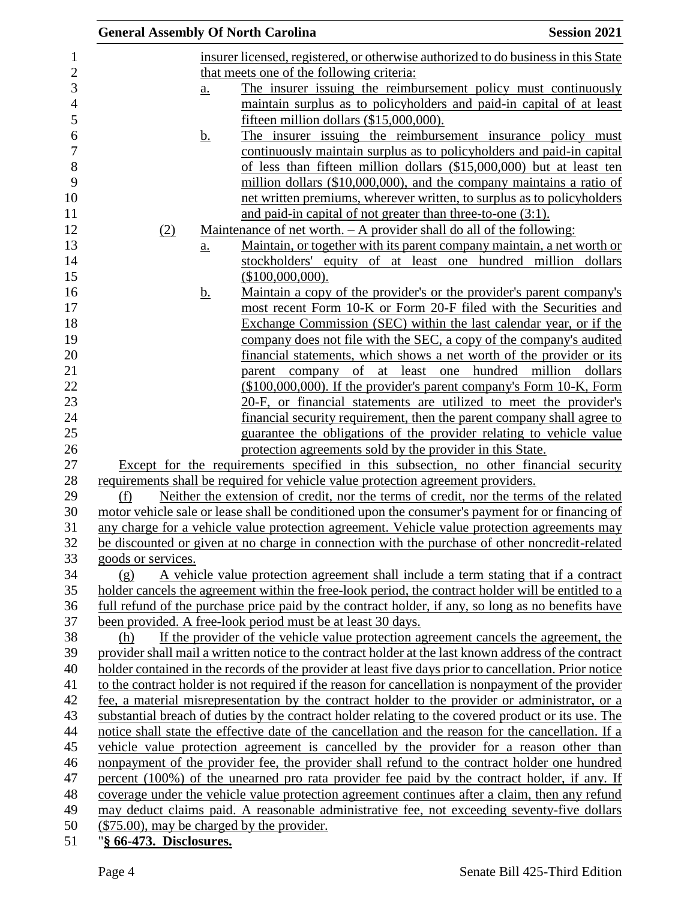|                         |                            | <b>General Assembly Of North Carolina</b>                                                                                                                         | <b>Session 2021</b>                                                                                                            |
|-------------------------|----------------------------|-------------------------------------------------------------------------------------------------------------------------------------------------------------------|--------------------------------------------------------------------------------------------------------------------------------|
|                         |                            | insurer licensed, registered, or otherwise authorized to do business in this State                                                                                |                                                                                                                                |
|                         |                            | that meets one of the following criteria:                                                                                                                         |                                                                                                                                |
|                         | $\underline{\mathbf{a}}$ . |                                                                                                                                                                   | The insurer issuing the reimbursement policy must continuously                                                                 |
|                         |                            |                                                                                                                                                                   | maintain surplus as to policyholders and paid-in capital of at least                                                           |
|                         |                            | fifteen million dollars (\$15,000,000).                                                                                                                           |                                                                                                                                |
|                         | <u>b.</u>                  |                                                                                                                                                                   | The insurer issuing the reimbursement insurance policy must                                                                    |
|                         |                            |                                                                                                                                                                   | continuously maintain surplus as to policyholders and paid-in capital                                                          |
|                         |                            |                                                                                                                                                                   | of less than fifteen million dollars (\$15,000,000) but at least ten                                                           |
|                         |                            |                                                                                                                                                                   | million dollars (\$10,000,000), and the company maintains a ratio of                                                           |
|                         |                            |                                                                                                                                                                   | net written premiums, wherever written, to surplus as to policyholders                                                         |
|                         |                            | and paid-in capital of not greater than three-to-one (3:1).                                                                                                       |                                                                                                                                |
| (2)                     |                            | <u>Maintenance of net worth. <math>- A</math> provider shall do all of the following:</u>                                                                         |                                                                                                                                |
|                         | $\underline{a}$ .          |                                                                                                                                                                   | <u>Maintain, or together with its parent company maintain, a net worth or</u>                                                  |
|                         |                            |                                                                                                                                                                   | stockholders' equity of at least one hundred million dollars                                                                   |
|                         |                            | (\$100,000,000).                                                                                                                                                  |                                                                                                                                |
|                         | <u>b.</u>                  |                                                                                                                                                                   | Maintain a copy of the provider's or the provider's parent company's                                                           |
|                         |                            |                                                                                                                                                                   | most recent Form 10-K or Form 20-F filed with the Securities and                                                               |
|                         |                            |                                                                                                                                                                   | Exchange Commission (SEC) within the last calendar year, or if the                                                             |
|                         |                            |                                                                                                                                                                   | company does not file with the SEC, a copy of the company's audited                                                            |
|                         |                            |                                                                                                                                                                   | financial statements, which shows a net worth of the provider or its<br>parent company of at least one hundred million dollars |
|                         |                            |                                                                                                                                                                   | (\$100,000,000). If the provider's parent company's Form 10-K, Form                                                            |
|                         |                            |                                                                                                                                                                   | 20-F, or financial statements are utilized to meet the provider's                                                              |
|                         |                            |                                                                                                                                                                   | financial security requirement, then the parent company shall agree to                                                         |
|                         |                            |                                                                                                                                                                   | guarantee the obligations of the provider relating to vehicle value                                                            |
|                         |                            | protection agreements sold by the provider in this State.                                                                                                         |                                                                                                                                |
|                         |                            | Except for the requirements specified in this subsection, no other financial security                                                                             |                                                                                                                                |
|                         |                            | requirements shall be required for vehicle value protection agreement providers.                                                                                  |                                                                                                                                |
| (f)                     |                            | Neither the extension of credit, nor the terms of credit, nor the terms of the related                                                                            |                                                                                                                                |
|                         |                            | motor vehicle sale or lease shall be conditioned upon the consumer's payment for or financing of                                                                  |                                                                                                                                |
|                         |                            | any charge for a vehicle value protection agreement. Vehicle value protection agreements may                                                                      |                                                                                                                                |
|                         |                            | be discounted or given at no charge in connection with the purchase of other noncredit-related                                                                    |                                                                                                                                |
| goods or services.      |                            |                                                                                                                                                                   |                                                                                                                                |
| (g)                     |                            | A vehicle value protection agreement shall include a term stating that if a contract                                                                              |                                                                                                                                |
|                         |                            | holder cancels the agreement within the free-look period, the contract holder will be entitled to a                                                               |                                                                                                                                |
|                         |                            | full refund of the purchase price paid by the contract holder, if any, so long as no benefits have<br>been provided. A free-look period must be at least 30 days. |                                                                                                                                |
| (h)                     |                            | If the provider of the vehicle value protection agreement cancels the agreement, the                                                                              |                                                                                                                                |
|                         |                            | provider shall mail a written notice to the contract holder at the last known address of the contract                                                             |                                                                                                                                |
|                         |                            | holder contained in the records of the provider at least five days prior to cancellation. Prior notice                                                            |                                                                                                                                |
|                         |                            | to the contract holder is not required if the reason for cancellation is nonpayment of the provider                                                               |                                                                                                                                |
|                         |                            | fee, a material misrepresentation by the contract holder to the provider or administrator, or a                                                                   |                                                                                                                                |
|                         |                            | substantial breach of duties by the contract holder relating to the covered product or its use. The                                                               |                                                                                                                                |
|                         |                            | notice shall state the effective date of the cancellation and the reason for the cancellation. If a                                                               |                                                                                                                                |
|                         |                            | vehicle value protection agreement is cancelled by the provider for a reason other than                                                                           |                                                                                                                                |
|                         |                            | nonpayment of the provider fee, the provider shall refund to the contract holder one hundred                                                                      |                                                                                                                                |
|                         |                            | percent (100%) of the unearned pro rata provider fee paid by the contract holder, if any. If                                                                      |                                                                                                                                |
|                         |                            | coverage under the vehicle value protection agreement continues after a claim, then any refund                                                                    |                                                                                                                                |
|                         |                            | may deduct claims paid. A reasonable administrative fee, not exceeding seventy-five dollars                                                                       |                                                                                                                                |
|                         |                            | (\$75.00), may be charged by the provider.                                                                                                                        |                                                                                                                                |
| "§ 66-473. Disclosures. |                            |                                                                                                                                                                   |                                                                                                                                |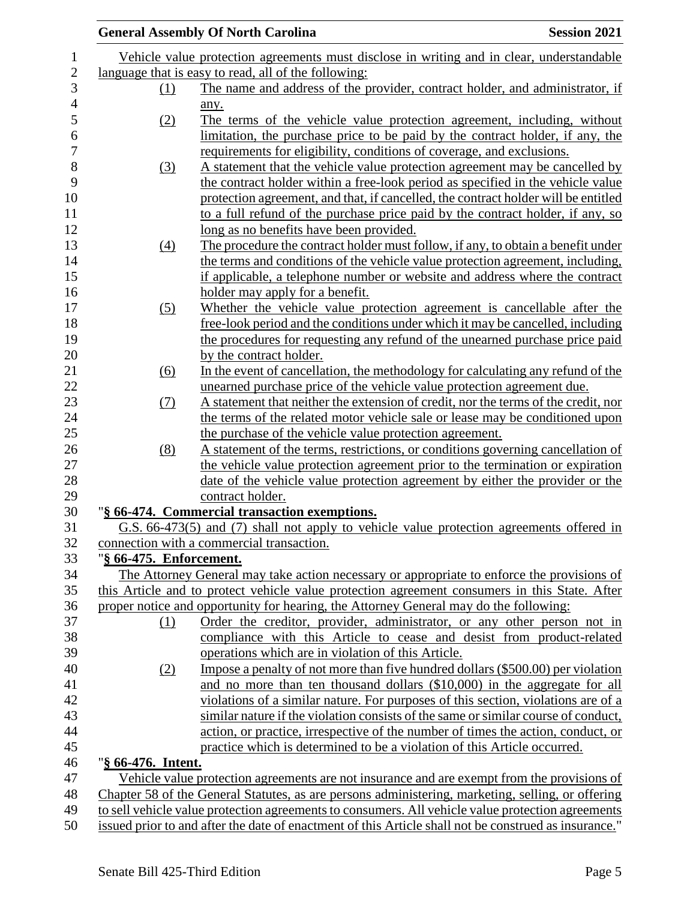|                         | <b>General Assembly Of North Carolina</b>                                                                                             | <b>Session 2021</b> |
|-------------------------|---------------------------------------------------------------------------------------------------------------------------------------|---------------------|
|                         | Vehicle value protection agreements must disclose in writing and in clear, understandable                                             |                     |
|                         | language that is easy to read, all of the following:                                                                                  |                     |
| (1)                     | The name and address of the provider, contract holder, and administrator, if                                                          |                     |
|                         | any.                                                                                                                                  |                     |
| (2)                     | The terms of the vehicle value protection agreement, including, without                                                               |                     |
|                         | limitation, the purchase price to be paid by the contract holder, if any, the                                                         |                     |
|                         | requirements for eligibility, conditions of coverage, and exclusions.                                                                 |                     |
| (3)                     | A statement that the vehicle value protection agreement may be cancelled by                                                           |                     |
|                         | the contract holder within a free-look period as specified in the vehicle value                                                       |                     |
|                         | protection agreement, and that, if cancelled, the contract holder will be entitled                                                    |                     |
|                         | to a full refund of the purchase price paid by the contract holder, if any, so                                                        |                     |
|                         | <u>long as no benefits have been provided.</u>                                                                                        |                     |
| $\left(4\right)$        | The procedure the contract holder must follow, if any, to obtain a benefit under                                                      |                     |
|                         | the terms and conditions of the vehicle value protection agreement, including,                                                        |                     |
|                         | if applicable, a telephone number or website and address where the contract                                                           |                     |
|                         | holder may apply for a benefit.                                                                                                       |                     |
| (5)                     | Whether the vehicle value protection agreement is cancellable after the                                                               |                     |
|                         | free-look period and the conditions under which it may be cancelled, including                                                        |                     |
|                         | the procedures for requesting any refund of the unearned purchase price paid                                                          |                     |
|                         | by the contract holder.                                                                                                               |                     |
| (6)                     | In the event of cancellation, the methodology for calculating any refund of the                                                       |                     |
|                         | unearned purchase price of the vehicle value protection agreement due.                                                                |                     |
| (7)                     | A statement that neither the extension of credit, nor the terms of the credit, nor                                                    |                     |
|                         | the terms of the related motor vehicle sale or lease may be conditioned upon                                                          |                     |
|                         | the purchase of the vehicle value protection agreement.                                                                               |                     |
|                         | A statement of the terms, restrictions, or conditions governing cancellation of                                                       |                     |
| (8)                     | the vehicle value protection agreement prior to the termination or expiration                                                         |                     |
|                         | date of the vehicle value protection agreement by either the provider or the                                                          |                     |
|                         | contract holder.                                                                                                                      |                     |
|                         | "§ 66-474. Commercial transaction exemptions.                                                                                         |                     |
|                         |                                                                                                                                       |                     |
|                         | G.S. 66-473(5) and (7) shall not apply to vehicle value protection agreements offered in<br>connection with a commercial transaction. |                     |
| "§ 66-475. Enforcement. |                                                                                                                                       |                     |
|                         | The Attorney General may take action necessary or appropriate to enforce the provisions of                                            |                     |
|                         | this Article and to protect vehicle value protection agreement consumers in this State. After                                         |                     |
|                         | proper notice and opportunity for hearing, the Attorney General may do the following:                                                 |                     |
| (1)                     | Order the creditor, provider, administrator, or any other person not in                                                               |                     |
|                         | compliance with this Article to cease and desist from product-related                                                                 |                     |
|                         | operations which are in violation of this Article.                                                                                    |                     |
| (2)                     | Impose a penalty of not more than five hundred dollars (\$500.00) per violation                                                       |                     |
|                         | and no more than ten thousand dollars (\$10,000) in the aggregate for all                                                             |                     |
|                         | violations of a similar nature. For purposes of this section, violations are of a                                                     |                     |
|                         | similar nature if the violation consists of the same or similar course of conduct,                                                    |                     |
|                         | action, or practice, irrespective of the number of times the action, conduct, or                                                      |                     |
|                         | practice which is determined to be a violation of this Article occurred.                                                              |                     |
| "§ 66-476. Intent.      |                                                                                                                                       |                     |
|                         | Vehicle value protection agreements are not insurance and are exempt from the provisions of                                           |                     |
|                         | Chapter 58 of the General Statutes, as are persons administering, marketing, selling, or offering                                     |                     |
|                         | to sell vehicle value protection agreements to consumers. All vehicle value protection agreements                                     |                     |
|                         | issued prior to and after the date of enactment of this Article shall not be construed as insurance."                                 |                     |
|                         |                                                                                                                                       |                     |